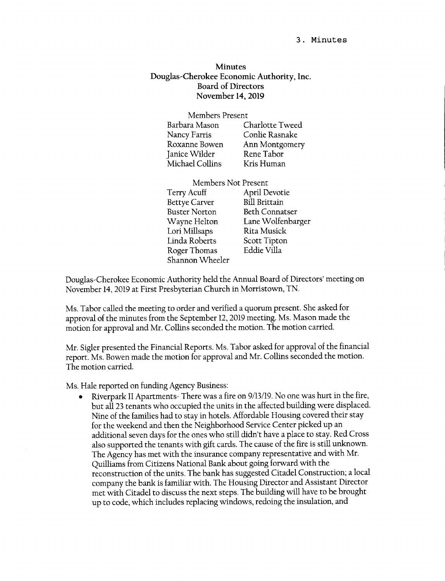## 3. Minutes

## Minutes Douglas-Cherokee Economic Authority, Inc. Board of Directors November l4,20l9

| Members Present |  |
|-----------------|--|
| Charlotte Tweed |  |
| Conlie Rasnake  |  |
| Ann Montgomery  |  |
| Rene Tabor      |  |
| Kris Human      |  |
|                 |  |

| Members Not Present   |  |
|-----------------------|--|
| April Devotie         |  |
| <b>Bill Brittain</b>  |  |
| <b>Beth Connatser</b> |  |
| Lane Wolfenbarger     |  |
| Rita Musick           |  |
| Scott Tipton          |  |
| Eddie Villa           |  |
|                       |  |
|                       |  |

Douglas-Cherokee Economic Authority held the Annual Board of Directors' meeting on November 14,2019 at First Presbyterian Church in Morristown, TN.

Ms. Tabor called the meeting to order and verified a quorum present. She asked for approval of the minutes from the September 12,2019 meeting. Ms. Mason made the motion for approval and Mr. Collins seconded the motion. The motion carried.

Mr. Sigler presented the Financial Reports. Ms. Tabor asked for approval of the financial reporr. Ms. Bowen made the motion for approval and Mr. Collins seconded the motion. The motion carried.

Ms. Hale reported on funding Agency Business:

Riverpark II Apartments- There was a fire on 9/13/19. No one was hurt in the fire, but all 23 tenants who occupied the units in the affected building were displaced. Nine of the families had to stay in hotels. Affordable Housing covered their stay for the weekend and then the Neighborhood Service Center picked up an additional seven days for the ones who still didn't have a place to stay. Red Cross also supported the tenants with gift cards. The cause of the fire is still unknown. The Agency has met with the insurance company representative and with Mr. Quilliams from Citizens National Bank about going forward with the reconstruction of the units. The bank has suggested Citadel Construction; a local company the bank is familiar with. The Housing Director and Assistant Director met with Citadel to discuss the next steps. The building will have to be brought up to code, which includes replacing windows, redoing the insulation, and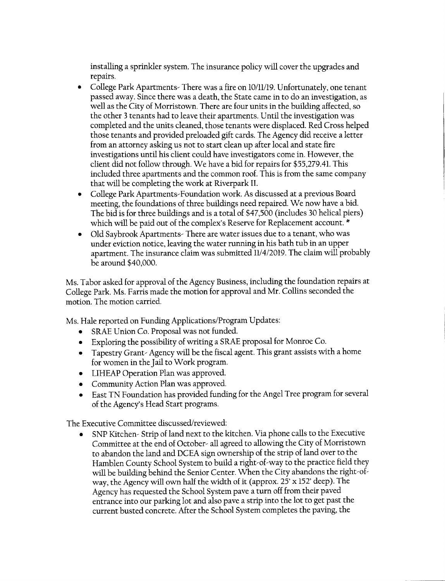installing a sprinkler system. The insurance policy will cover the upgrades and repairs.

- College Park Apartments- There was a fire on 10/11/19. Unfortunately, one tenant passed away. Since there was a death, the State came in to do an investigation, as well as the City of Morristown. There are four units in the building affected, so the other 3 tenants had to leave their apartments. Until the investigation was completed and the units cleaned, those tenants were displaced. Red Cross helped those tenants and provided preloaded gift cards. The Agency did receive a letter from an attorney asking us not to start clean up after local and state fire investigations until his client could have investigators come in. However, the client did not follow through. We have a bid for repairs for \$55,279.41. This included three apartments and the common roof. This is from the same company that will be completing the work at Riverpark IL
- . College Park Apartments-Foundation work. As discussed at a previous Board meeting, the foundations of three buildings need repaired. We now have a bid. The bid is for three buildings and is a total of \$47,500 (includes 30 helical piers) which will be paid out of the complex's Reserve for Replacement account. \*
- Old Saybrook Apartments- There are water issues due to a tenant, who was under eviction notice, leaving the water running in his bath tub in an upper apartment. The insurance claim was submitted 11/4/2019. The claim will probably be around \$40,000.

Ms. Tabor asked for approval of the Agency Business, including the foundation repairs at College Park. Ms. Farris made the motion for approval and Mr. Collins seconded the motion. The motion carried.

Ms. Haie reported on Funding Applications/Program Updates:

- SRAE Union Co. Proposal was not funded.
- o Exploring the possibility of writing a SRAE proposal for Monroe Co.
- o Tapesrry Grant- Agency will be the fiscal agent. This grant assists with a home for women in the Jail to Work program.
- LIHEAP Operation Plan was approved.
- Community Action Plan was approved.
- East TN Foundation has provided funding for the Angel Tree program for several of the Agency's Head Start programs.

The Executive Committee discussed/reviewed:

SNP Kitchen- Strip of land next to the kitchen. Via phone calls to the Executive Committee at the end of October- all agreed to allowing the City of Morristown to abandon the land and DCEA sign ownership of the strip of land over to the Hamblen County School System to build a right-of-way to the practice field they will be building behind the Senior Center. When the City abandons the right-ofway, the Agency will own half the width of it (approx. 25' x I52' deep). The Agency has requested the School System pave a turn off from their paved entrance into our parking lot and also pave a strip into the lot to get past the currenr busted concrete. After the School System completes the paving, the